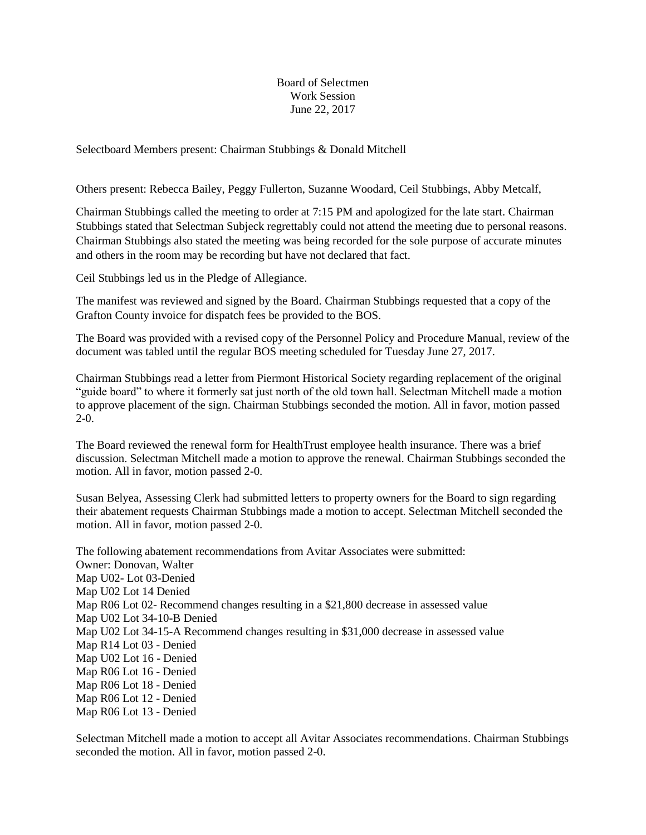Board of Selectmen Work Session June 22, 2017

Selectboard Members present: Chairman Stubbings & Donald Mitchell

Others present: Rebecca Bailey, Peggy Fullerton, Suzanne Woodard, Ceil Stubbings, Abby Metcalf,

Chairman Stubbings called the meeting to order at 7:15 PM and apologized for the late start. Chairman Stubbings stated that Selectman Subjeck regrettably could not attend the meeting due to personal reasons. Chairman Stubbings also stated the meeting was being recorded for the sole purpose of accurate minutes and others in the room may be recording but have not declared that fact.

Ceil Stubbings led us in the Pledge of Allegiance.

The manifest was reviewed and signed by the Board. Chairman Stubbings requested that a copy of the Grafton County invoice for dispatch fees be provided to the BOS.

The Board was provided with a revised copy of the Personnel Policy and Procedure Manual, review of the document was tabled until the regular BOS meeting scheduled for Tuesday June 27, 2017.

Chairman Stubbings read a letter from Piermont Historical Society regarding replacement of the original "guide board" to where it formerly sat just north of the old town hall. Selectman Mitchell made a motion to approve placement of the sign. Chairman Stubbings seconded the motion. All in favor, motion passed 2-0.

The Board reviewed the renewal form for HealthTrust employee health insurance. There was a brief discussion. Selectman Mitchell made a motion to approve the renewal. Chairman Stubbings seconded the motion. All in favor, motion passed 2-0.

Susan Belyea, Assessing Clerk had submitted letters to property owners for the Board to sign regarding their abatement requests Chairman Stubbings made a motion to accept. Selectman Mitchell seconded the motion. All in favor, motion passed 2-0.

The following abatement recommendations from Avitar Associates were submitted: Owner: Donovan, Walter Map U02- Lot 03-Denied Map U02 Lot 14 Denied Map R06 Lot 02- Recommend changes resulting in a \$21,800 decrease in assessed value Map U02 Lot 34-10-B Denied Map U02 Lot 34-15-A Recommend changes resulting in \$31,000 decrease in assessed value Map R14 Lot 03 - Denied Map U02 Lot 16 - Denied Map R06 Lot 16 - Denied Map R06 Lot 18 - Denied Map R06 Lot 12 - Denied Map R06 Lot 13 - Denied

Selectman Mitchell made a motion to accept all Avitar Associates recommendations. Chairman Stubbings seconded the motion. All in favor, motion passed 2-0.